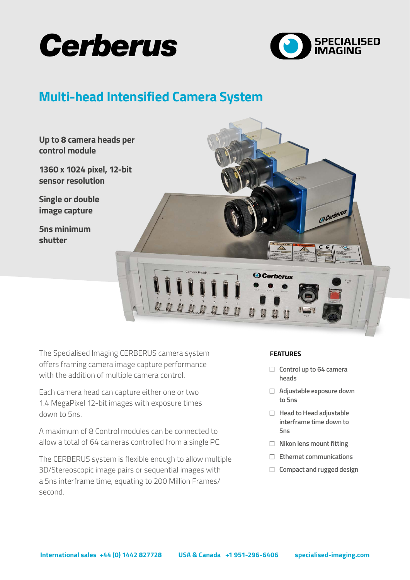



# **Multi-head Intensified Camera System**



The Specialised Imaging CERBERUS camera system offers framing camera image capture performance with the addition of multiple camera control.

Each camera head can capture either one or two 1.4 MegaPixel 12-bit images with exposure times down to 5ns.

A maximum of 8 Control modules can be connected to allow a total of 64 cameras controlled from a single PC.

The CERBERUS system is flexible enough to allow multiple 3D/Stereoscopic image pairs or sequential images with a 5ns interframe time, equating to 200 Million Frames/ second.

#### **FEATURES**

- □ Control up to 64 camera **heads**
- <sup>F</sup> **Adjustable exposure down to 5ns**
- **F** Head to Head adjustable **interframe time down to 5ns**
- **F** Nikon lens mount fitting
- <sup>F</sup> **Ethernet communications**
- □ Compact and rugged design